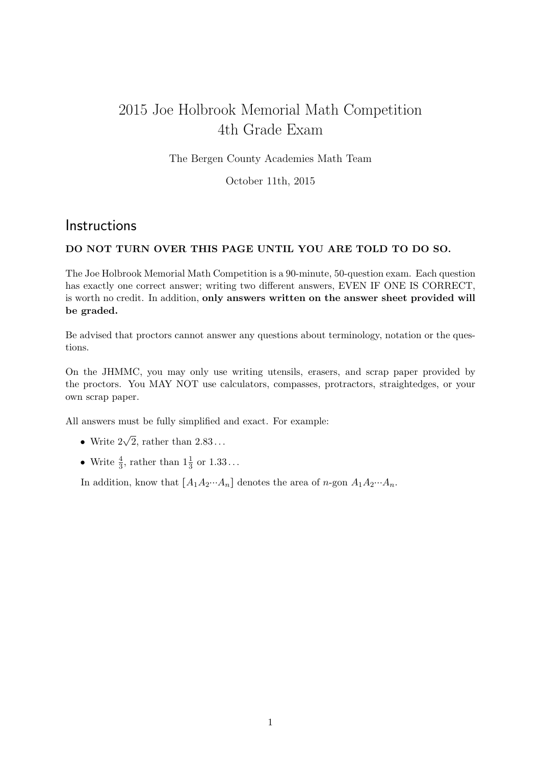## 2015 Joe Holbrook Memorial Math Competition 4th Grade Exam

The Bergen County Academies Math Team

October 11th, 2015

## **Instructions**

## DO NOT TURN OVER THIS PAGE UNTIL YOU ARE TOLD TO DO SO.

The Joe Holbrook Memorial Math Competition is a 90-minute, 50-question exam. Each question has exactly one correct answer; writing two different answers, EVEN IF ONE IS CORRECT, is worth no credit. In addition, only answers written on the answer sheet provided will be graded.

Be advised that proctors cannot answer any questions about terminology, notation or the questions.

On the JHMMC, you may only use writing utensils, erasers, and scrap paper provided by the proctors. You MAY NOT use calculators, compasses, protractors, straightedges, or your own scrap paper.

All answers must be fully simplified and exact. For example:

- Write  $2\sqrt{2}$ , rather than  $2.83...$
- Write  $\frac{4}{3}$ , rather than  $1\frac{1}{3}$  or  $1.33...$

In addition, know that  $[A_1A_2\cdots A_n]$  denotes the area of n-gon  $A_1A_2\cdots A_n$ .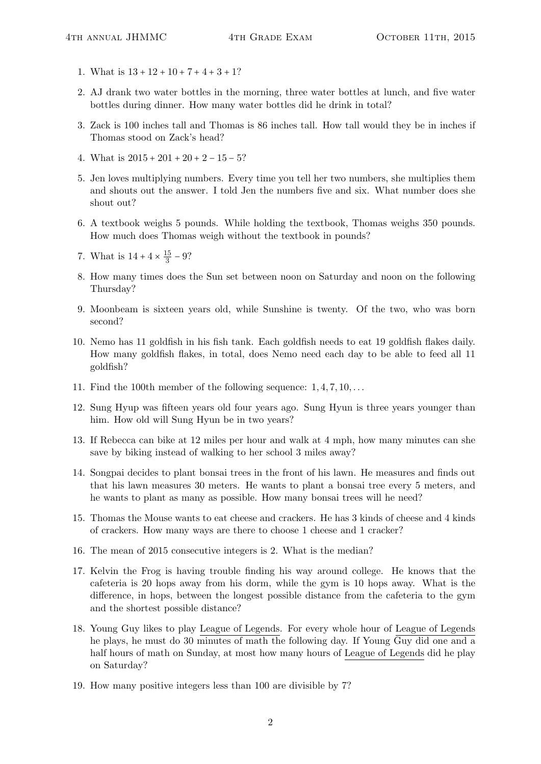- 1. What is  $13 + 12 + 10 + 7 + 4 + 3 + 1?$
- 2. AJ drank two water bottles in the morning, three water bottles at lunch, and five water bottles during dinner. How many water bottles did he drink in total?
- 3. Zack is 100 inches tall and Thomas is 86 inches tall. How tall would they be in inches if Thomas stood on Zack's head?
- 4. What is  $2015 + 201 + 20 + 2 15 5$ ?
- 5. Jen loves multiplying numbers. Every time you tell her two numbers, she multiplies them and shouts out the answer. I told Jen the numbers five and six. What number does she shout out?
- 6. A textbook weighs 5 pounds. While holding the textbook, Thomas weighs 350 pounds. How much does Thomas weigh without the textbook in pounds?
- 7. What is  $14 + 4 \times \frac{15}{3}$  $\frac{15}{3}$  – 9?
- 8. How many times does the Sun set between noon on Saturday and noon on the following Thursday?
- 9. Moonbeam is sixteen years old, while Sunshine is twenty. Of the two, who was born second?
- 10. Nemo has 11 goldfish in his fish tank. Each goldfish needs to eat 19 goldfish flakes daily. How many goldfish flakes, in total, does Nemo need each day to be able to feed all 11 goldfish?
- 11. Find the 100th member of the following sequence:  $1, 4, 7, 10, \ldots$
- 12. Sung Hyup was fifteen years old four years ago. Sung Hyun is three years younger than him. How old will Sung Hyun be in two years?
- 13. If Rebecca can bike at 12 miles per hour and walk at 4 mph, how many minutes can she save by biking instead of walking to her school 3 miles away?
- 14. Songpai decides to plant bonsai trees in the front of his lawn. He measures and finds out that his lawn measures 30 meters. He wants to plant a bonsai tree every 5 meters, and he wants to plant as many as possible. How many bonsai trees will he need?
- 15. Thomas the Mouse wants to eat cheese and crackers. He has 3 kinds of cheese and 4 kinds of crackers. How many ways are there to choose 1 cheese and 1 cracker?
- 16. The mean of 2015 consecutive integers is 2. What is the median?
- 17. Kelvin the Frog is having trouble finding his way around college. He knows that the cafeteria is 20 hops away from his dorm, while the gym is 10 hops away. What is the difference, in hops, between the longest possible distance from the cafeteria to the gym and the shortest possible distance?
- 18. Young Guy likes to play League of Legends. For every whole hour of League of Legends he plays, he must do 30 minutes of math the following day. If Young Guy did one and a half hours of math on Sunday, at most how many hours of League of Legends did he play on Saturday?
- 19. How many positive integers less than 100 are divisible by 7?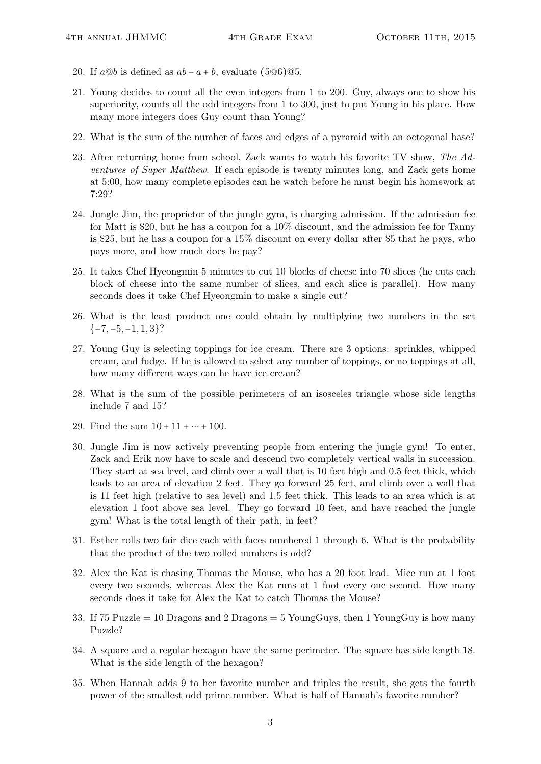- 20. If  $a@b$  is defined as  $ab a + b$ , evaluate (5 $@6$ ) $@5$ .
- 21. Young decides to count all the even integers from 1 to 200. Guy, always one to show his superiority, counts all the odd integers from 1 to 300, just to put Young in his place. How many more integers does Guy count than Young?
- 22. What is the sum of the number of faces and edges of a pyramid with an octogonal base?
- 23. After returning home from school, Zack wants to watch his favorite TV show, The Adventures of Super Matthew. If each episode is twenty minutes long, and Zack gets home at 5:00, how many complete episodes can he watch before he must begin his homework at 7:29?
- 24. Jungle Jim, the proprietor of the jungle gym, is charging admission. If the admission fee for Matt is \$20, but he has a coupon for a 10% discount, and the admission fee for Tanny is \$25, but he has a coupon for a 15% discount on every dollar after \$5 that he pays, who pays more, and how much does he pay?
- 25. It takes Chef Hyeongmin 5 minutes to cut 10 blocks of cheese into 70 slices (he cuts each block of cheese into the same number of slices, and each slice is parallel). How many seconds does it take Chef Hyeongmin to make a single cut?
- 26. What is the least product one could obtain by multiplying two numbers in the set  ${-7, -5, -1, 1, 3}$ ?
- 27. Young Guy is selecting toppings for ice cream. There are 3 options: sprinkles, whipped cream, and fudge. If he is allowed to select any number of toppings, or no toppings at all, how many different ways can he have ice cream?
- 28. What is the sum of the possible perimeters of an isosceles triangle whose side lengths include 7 and 15?
- 29. Find the sum  $10 + 11 + \cdots + 100$ .
- 30. Jungle Jim is now actively preventing people from entering the jungle gym! To enter, Zack and Erik now have to scale and descend two completely vertical walls in succession. They start at sea level, and climb over a wall that is 10 feet high and 0.5 feet thick, which leads to an area of elevation 2 feet. They go forward 25 feet, and climb over a wall that is 11 feet high (relative to sea level) and 1.5 feet thick. This leads to an area which is at elevation 1 foot above sea level. They go forward 10 feet, and have reached the jungle gym! What is the total length of their path, in feet?
- 31. Esther rolls two fair dice each with faces numbered 1 through 6. What is the probability that the product of the two rolled numbers is odd?
- 32. Alex the Kat is chasing Thomas the Mouse, who has a 20 foot lead. Mice run at 1 foot every two seconds, whereas Alex the Kat runs at 1 foot every one second. How many seconds does it take for Alex the Kat to catch Thomas the Mouse?
- 33. If 75 Puzzle  $= 10$  Dragons and 2 Dragons  $= 5$  YoungGuys, then 1 YoungGuy is how many Puzzle?
- 34. A square and a regular hexagon have the same perimeter. The square has side length 18. What is the side length of the hexagon?
- 35. When Hannah adds 9 to her favorite number and triples the result, she gets the fourth power of the smallest odd prime number. What is half of Hannah's favorite number?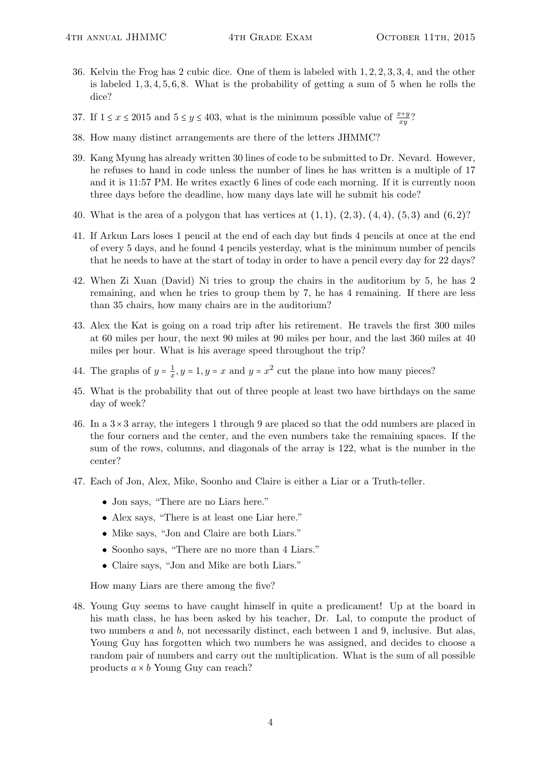- 36. Kelvin the Frog has 2 cubic dice. One of them is labeled with 1, 2, 2, 3, 3, 4, and the other is labeled  $1, 3, 4, 5, 6, 8$ . What is the probability of getting a sum of 5 when he rolls the dice?
- 37. If  $1 \le x \le 2015$  and  $5 \le y \le 403$ , what is the minimum possible value of  $\frac{x+y}{xy}$ ?
- 38. How many distinct arrangements are there of the letters JHMMC?
- 39. Kang Myung has already written 30 lines of code to be submitted to Dr. Nevard. However, he refuses to hand in code unless the number of lines he has written is a multiple of 17 and it is 11:57 PM. He writes exactly 6 lines of code each morning. If it is currently noon three days before the deadline, how many days late will he submit his code?
- 40. What is the area of a polygon that has vertices at  $(1, 1)$ ,  $(2, 3)$ ,  $(4, 4)$ ,  $(5, 3)$  and  $(6, 2)$ ?
- 41. If Arkun Lars loses 1 pencil at the end of each day but finds 4 pencils at once at the end of every 5 days, and he found 4 pencils yesterday, what is the minimum number of pencils that he needs to have at the start of today in order to have a pencil every day for 22 days?
- 42. When Zi Xuan (David) Ni tries to group the chairs in the auditorium by 5, he has 2 remaining, and when he tries to group them by 7, he has 4 remaining. If there are less than 35 chairs, how many chairs are in the auditorium?
- 43. Alex the Kat is going on a road trip after his retirement. He travels the first 300 miles at 60 miles per hour, the next 90 miles at 90 miles per hour, and the last 360 miles at 40 miles per hour. What is his average speed throughout the trip?
- 44. The graphs of  $y = \frac{1}{x}$  $\frac{1}{x}$ ,  $y = 1$ ,  $y = x$  and  $y = x^2$  cut the plane into how many pieces?
- 45. What is the probability that out of three people at least two have birthdays on the same day of week?
- 46. In a  $3\times3$  array, the integers 1 through 9 are placed so that the odd numbers are placed in the four corners and the center, and the even numbers take the remaining spaces. If the sum of the rows, columns, and diagonals of the array is 122, what is the number in the center?
- 47. Each of Jon, Alex, Mike, Soonho and Claire is either a Liar or a Truth-teller.
	- Jon says, "There are no Liars here."
	- Alex says, "There is at least one Liar here."
	- Mike says, "Jon and Claire are both Liars."
	- Soonho says, "There are no more than 4 Liars."
	- Claire says, "Jon and Mike are both Liars."

How many Liars are there among the five?

48. Young Guy seems to have caught himself in quite a predicament! Up at the board in his math class, he has been asked by his teacher, Dr. Lal, to compute the product of two numbers a and b, not necessarily distinct, each between 1 and 9, inclusive. But alas, Young Guy has forgotten which two numbers he was assigned, and decides to choose a random pair of numbers and carry out the multiplication. What is the sum of all possible products  $a \times b$  Young Guy can reach?